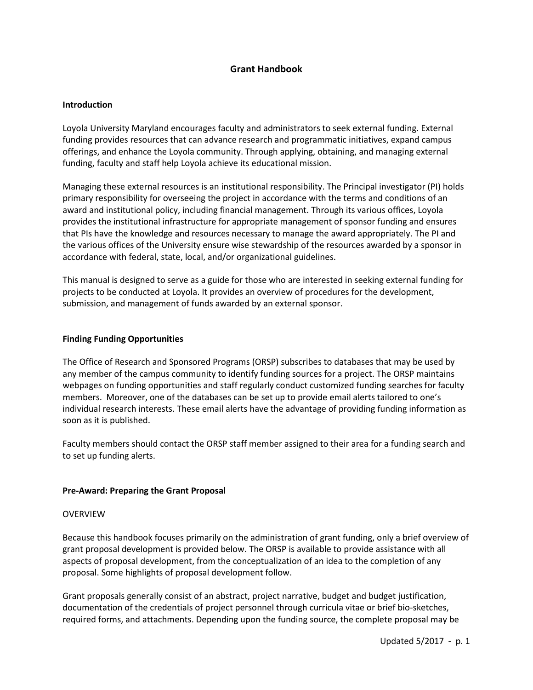# **Grant Handbook**

### **Introduction**

Loyola University Maryland encourages faculty and administrators to seek external funding. External funding provides resources that can advance research and programmatic initiatives, expand campus offerings, and enhance the Loyola community. Through applying, obtaining, and managing external funding, faculty and staff help Loyola achieve its educational mission.

Managing these external resources is an institutional responsibility. The Principal investigator (PI) holds primary responsibility for overseeing the project in accordance with the terms and conditions of an award and institutional policy, including financial management. Through its various offices, Loyola provides the institutional infrastructure for appropriate management of sponsor funding and ensures that PIs have the knowledge and resources necessary to manage the award appropriately. The PI and the various offices of the University ensure wise stewardship of the resources awarded by a sponsor in accordance with federal, state, local, and/or organizational guidelines.

This manual is designed to serve as a guide for those who are interested in seeking external funding for projects to be conducted at Loyola. It provides an overview of procedures for the development, submission, and management of funds awarded by an external sponsor.

### **Finding Funding Opportunities**

The Office of Research and Sponsored Programs (ORSP) subscribes to databases that may be used by any member of the campus community to identify funding sources for a project. The ORSP maintains webpages on funding opportunities and staff regularly conduct customized funding searches for faculty members. Moreover, one of the databases can be set up to provide email alerts tailored to one's individual research interests. These email alerts have the advantage of providing funding information as soon as it is published.

Faculty members should contact the ORSP staff member assigned to their area for a funding search and to set up funding alerts.

## **Pre-Award: Preparing the Grant Proposal**

#### OVERVIEW

Because this handbook focuses primarily on the administration of grant funding, only a brief overview of grant proposal development is provided below. The ORSP is available to provide assistance with all aspects of proposal development, from the conceptualization of an idea to the completion of any proposal. Some highlights of proposal development follow.

Grant proposals generally consist of an abstract, project narrative, budget and budget justification, documentation of the credentials of project personnel through curricula vitae or brief bio-sketches, required forms, and attachments. Depending upon the funding source, the complete proposal may be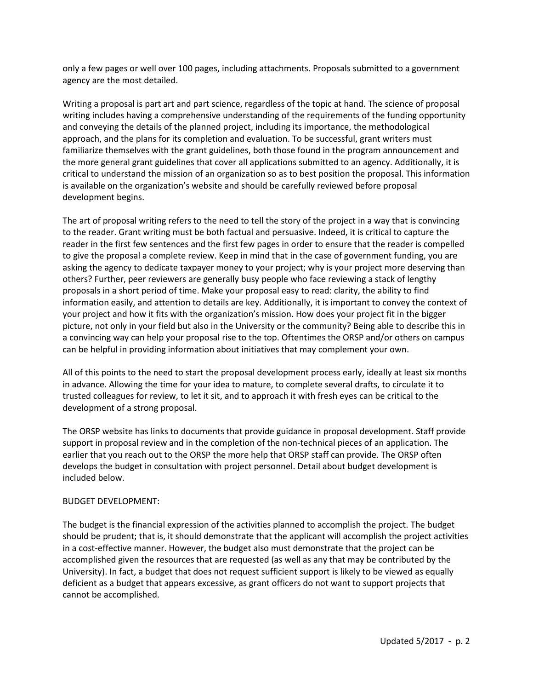only a few pages or well over 100 pages, including attachments. Proposals submitted to a government agency are the most detailed.

Writing a proposal is part art and part science, regardless of the topic at hand. The science of proposal writing includes having a comprehensive understanding of the requirements of the funding opportunity and conveying the details of the planned project, including its importance, the methodological approach, and the plans for its completion and evaluation. To be successful, grant writers must familiarize themselves with the grant guidelines, both those found in the program announcement and the more general grant guidelines that cover all applications submitted to an agency. Additionally, it is critical to understand the mission of an organization so as to best position the proposal. This information is available on the organization's website and should be carefully reviewed before proposal development begins.

The art of proposal writing refers to the need to tell the story of the project in a way that is convincing to the reader. Grant writing must be both factual and persuasive. Indeed, it is critical to capture the reader in the first few sentences and the first few pages in order to ensure that the reader is compelled to give the proposal a complete review. Keep in mind that in the case of government funding, you are asking the agency to dedicate taxpayer money to your project; why is your project more deserving than others? Further, peer reviewers are generally busy people who face reviewing a stack of lengthy proposals in a short period of time. Make your proposal easy to read: clarity, the ability to find information easily, and attention to details are key. Additionally, it is important to convey the context of your project and how it fits with the organization's mission. How does your project fit in the bigger picture, not only in your field but also in the University or the community? Being able to describe this in a convincing way can help your proposal rise to the top. Oftentimes the ORSP and/or others on campus can be helpful in providing information about initiatives that may complement your own.

All of this points to the need to start the proposal development process early, ideally at least six months in advance. Allowing the time for your idea to mature, to complete several drafts, to circulate it to trusted colleagues for review, to let it sit, and to approach it with fresh eyes can be critical to the development of a strong proposal.

The ORSP website has links to documents that provide guidance in proposal development. Staff provide support in proposal review and in the completion of the non-technical pieces of an application. The earlier that you reach out to the ORSP the more help that ORSP staff can provide. The ORSP often develops the budget in consultation with project personnel. Detail about budget development is included below.

## BUDGET DEVELOPMENT:

The budget is the financial expression of the activities planned to accomplish the project. The budget should be prudent; that is, it should demonstrate that the applicant will accomplish the project activities in a cost-effective manner. However, the budget also must demonstrate that the project can be accomplished given the resources that are requested (as well as any that may be contributed by the University). In fact, a budget that does not request sufficient support is likely to be viewed as equally deficient as a budget that appears excessive, as grant officers do not want to support projects that cannot be accomplished.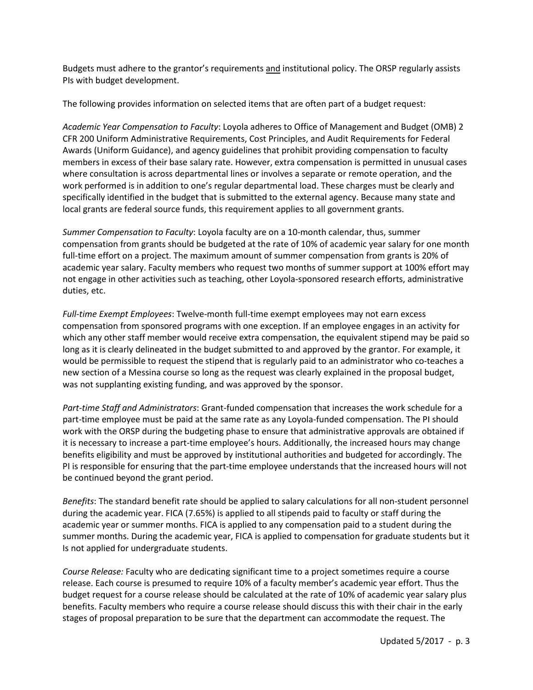Budgets must adhere to the grantor's requirements and institutional policy. The ORSP regularly assists PIs with budget development.

The following provides information on selected items that are often part of a budget request:

*Academic Year Compensation to Faculty*: Loyola adheres to Office of Management and Budget (OMB) 2 CFR 200 Uniform Administrative Requirements, Cost Principles, and Audit Requirements for Federal Awards (Uniform Guidance), and agency guidelines that prohibit providing compensation to faculty members in excess of their base salary rate. However, extra compensation is permitted in unusual cases where consultation is across departmental lines or involves a separate or remote operation, and the work performed is in addition to one's regular departmental load. These charges must be clearly and specifically identified in the budget that is submitted to the external agency. Because many state and local grants are federal source funds, this requirement applies to all government grants.

*Summer Compensation to Faculty*: Loyola faculty are on a 10-month calendar, thus, summer compensation from grants should be budgeted at the rate of 10% of academic year salary for one month full-time effort on a project. The maximum amount of summer compensation from grants is 20% of academic year salary. Faculty members who request two months of summer support at 100% effort may not engage in other activities such as teaching, other Loyola-sponsored research efforts, administrative duties, etc.

*Full-time Exempt Employees*: Twelve-month full-time exempt employees may not earn excess compensation from sponsored programs with one exception. If an employee engages in an activity for which any other staff member would receive extra compensation, the equivalent stipend may be paid so long as it is clearly delineated in the budget submitted to and approved by the grantor. For example, it would be permissible to request the stipend that is regularly paid to an administrator who co-teaches a new section of a Messina course so long as the request was clearly explained in the proposal budget, was not supplanting existing funding, and was approved by the sponsor.

*Part-time Staff and Administrators*: Grant-funded compensation that increases the work schedule for a part-time employee must be paid at the same rate as any Loyola-funded compensation. The PI should work with the ORSP during the budgeting phase to ensure that administrative approvals are obtained if it is necessary to increase a part-time employee's hours. Additionally, the increased hours may change benefits eligibility and must be approved by institutional authorities and budgeted for accordingly. The PI is responsible for ensuring that the part-time employee understands that the increased hours will not be continued beyond the grant period.

*Benefits*: The standard benefit rate should be applied to salary calculations for all non-student personnel during the academic year. FICA (7.65%) is applied to all stipends paid to faculty or staff during the academic year or summer months. FICA is applied to any compensation paid to a student during the summer months. During the academic year, FICA is applied to compensation for graduate students but it Is not applied for undergraduate students.

*Course Release:* Faculty who are dedicating significant time to a project sometimes require a course release. Each course is presumed to require 10% of a faculty member's academic year effort. Thus the budget request for a course release should be calculated at the rate of 10% of academic year salary plus benefits. Faculty members who require a course release should discuss this with their chair in the early stages of proposal preparation to be sure that the department can accommodate the request. The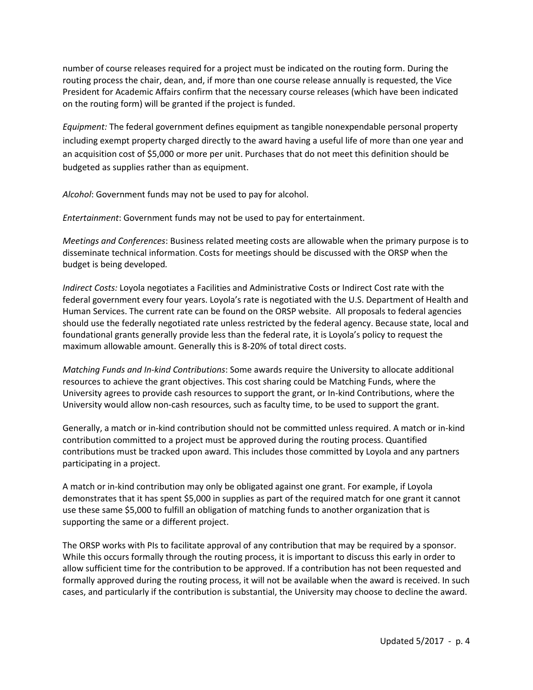number of course releases required for a project must be indicated on the routing form. During the routing process the chair, dean, and, if more than one course release annually is requested, the Vice President for Academic Affairs confirm that the necessary course releases (which have been indicated on the routing form) will be granted if the project is funded.

*Equipment:* The federal government defines equipment as tangible nonexpendable personal property including exempt property charged directly to the award having a useful life of more than one year and an acquisition cost of \$5,000 or more per unit. Purchases that do not meet this definition should be budgeted as supplies rather than as equipment.

*Alcohol*: Government funds may not be used to pay for alcohol.

*Entertainment*: Government funds may not be used to pay for entertainment.

*Meetings and Conferences*: Business related meeting costs are allowable when the primary purpose is to disseminate technical information. Costs for meetings should be discussed with the ORSP when the budget is being developed*.* 

*Indirect Costs:* Loyola negotiates a Facilities and Administrative Costs or Indirect Cost rate with the federal government every four years. Loyola's rate is negotiated with the U.S. Department of Health and Human Services. The current rate can be found on the ORSP website. All proposals to federal agencies should use the federally negotiated rate unless restricted by the federal agency. Because state, local and foundational grants generally provide less than the federal rate, it is Loyola's policy to request the maximum allowable amount. Generally this is 8-20% of total direct costs.

*Matching Funds and In-kind Contributions*: Some awards require the University to allocate additional resources to achieve the grant objectives. This cost sharing could be Matching Funds, where the University agrees to provide cash resources to support the grant, or In-kind Contributions, where the University would allow non-cash resources, such as faculty time, to be used to support the grant.

Generally, a match or in-kind contribution should not be committed unless required. A match or in-kind contribution committed to a project must be approved during the routing process. Quantified contributions must be tracked upon award. This includes those committed by Loyola and any partners participating in a project.

A match or in-kind contribution may only be obligated against one grant. For example, if Loyola demonstrates that it has spent \$5,000 in supplies as part of the required match for one grant it cannot use these same \$5,000 to fulfill an obligation of matching funds to another organization that is supporting the same or a different project.

The ORSP works with PIs to facilitate approval of any contribution that may be required by a sponsor. While this occurs formally through the routing process, it is important to discuss this early in order to allow sufficient time for the contribution to be approved. If a contribution has not been requested and formally approved during the routing process, it will not be available when the award is received. In such cases, and particularly if the contribution is substantial, the University may choose to decline the award.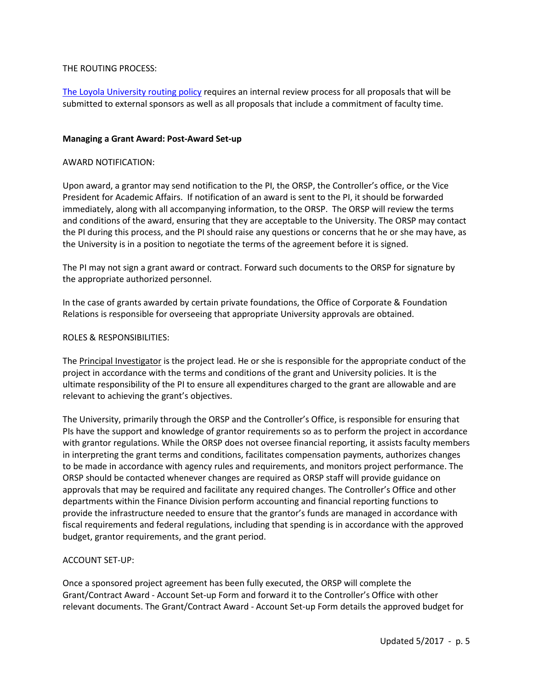## THE ROUTING PROCESS:

[The Loyola University routing policy](http://www.loyola.edu/academics/research/orsp/funding/applying/routing_authorization.pdf) requires an internal review process for all proposals that will be submitted to external sponsors as well as all proposals that include a commitment of faculty time.

### **Managing a Grant Award: Post-Award Set-up**

### AWARD NOTIFICATION:

Upon award, a grantor may send notification to the PI, the ORSP, the Controller's office, or the Vice President for Academic Affairs. If notification of an award is sent to the PI, it should be forwarded immediately, along with all accompanying information, to the ORSP. The ORSP will review the terms and conditions of the award, ensuring that they are acceptable to the University. The ORSP may contact the PI during this process, and the PI should raise any questions or concerns that he or she may have, as the University is in a position to negotiate the terms of the agreement before it is signed.

The PI may not sign a grant award or contract. Forward such documents to the ORSP for signature by the appropriate authorized personnel.

In the case of grants awarded by certain private foundations, the Office of Corporate & Foundation Relations is responsible for overseeing that appropriate University approvals are obtained.

### ROLES & RESPONSIBILITIES:

The Principal Investigator is the project lead. He or she is responsible for the appropriate conduct of the project in accordance with the terms and conditions of the grant and University policies. It is the ultimate responsibility of the PI to ensure all expenditures charged to the grant are allowable and are relevant to achieving the grant's objectives.

The University, primarily through the ORSP and the Controller's Office, is responsible for ensuring that PIs have the support and knowledge of grantor requirements so as to perform the project in accordance with grantor regulations. While the ORSP does not oversee financial reporting, it assists faculty members in interpreting the grant terms and conditions, facilitates compensation payments, authorizes changes to be made in accordance with agency rules and requirements, and monitors project performance. The ORSP should be contacted whenever changes are required as ORSP staff will provide guidance on approvals that may be required and facilitate any required changes. The Controller's Office and other departments within the Finance Division perform accounting and financial reporting functions to provide the infrastructure needed to ensure that the grantor's funds are managed in accordance with fiscal requirements and federal regulations, including that spending is in accordance with the approved budget, grantor requirements, and the grant period.

## ACCOUNT SET-UP:

Once a sponsored project agreement has been fully executed, the ORSP will complete the Grant/Contract Award - Account Set-up Form and forward it to the Controller's Office with other relevant documents. The Grant/Contract Award - Account Set-up Form details the approved budget for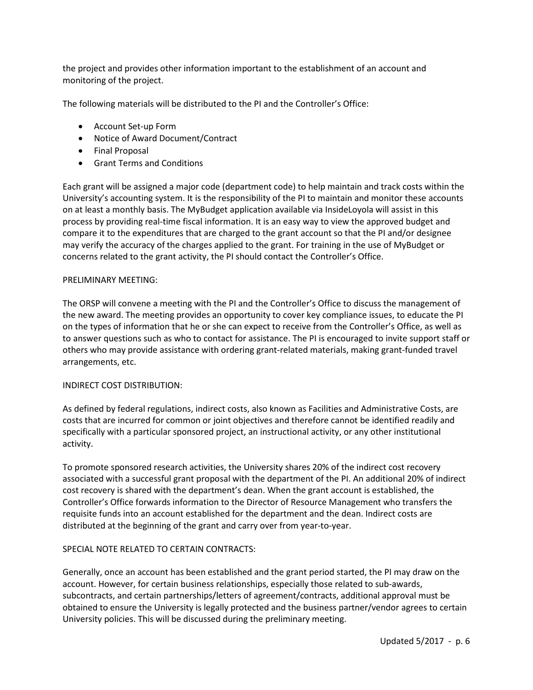the project and provides other information important to the establishment of an account and monitoring of the project.

The following materials will be distributed to the PI and the Controller's Office:

- Account Set-up Form
- Notice of Award Document/Contract
- Final Proposal
- Grant Terms and Conditions

Each grant will be assigned a major code (department code) to help maintain and track costs within the University's accounting system. It is the responsibility of the PI to maintain and monitor these accounts on at least a monthly basis. The MyBudget application available via InsideLoyola will assist in this process by providing real-time fiscal information. It is an easy way to view the approved budget and compare it to the expenditures that are charged to the grant account so that the PI and/or designee may verify the accuracy of the charges applied to the grant. For training in the use of MyBudget or concerns related to the grant activity, the PI should contact the Controller's Office.

### PRELIMINARY MEETING:

The ORSP will convene a meeting with the PI and the Controller's Office to discuss the management of the new award. The meeting provides an opportunity to cover key compliance issues, to educate the PI on the types of information that he or she can expect to receive from the Controller's Office, as well as to answer questions such as who to contact for assistance. The PI is encouraged to invite support staff or others who may provide assistance with ordering grant-related materials, making grant-funded travel arrangements, etc.

#### INDIRECT COST DISTRIBUTION:

As defined by federal regulations, indirect costs, also known as Facilities and Administrative Costs, are costs that are incurred for common or joint objectives and therefore cannot be identified readily and specifically with a particular sponsored project, an instructional activity, or any other institutional activity.

To promote sponsored research activities, the University shares 20% of the indirect cost recovery associated with a successful grant proposal with the department of the PI. An additional 20% of indirect cost recovery is shared with the department's dean. When the grant account is established, the Controller's Office forwards information to the Director of Resource Management who transfers the requisite funds into an account established for the department and the dean. Indirect costs are distributed at the beginning of the grant and carry over from year-to-year.

## SPECIAL NOTE RELATED TO CERTAIN CONTRACTS:

Generally, once an account has been established and the grant period started, the PI may draw on the account. However, for certain business relationships, especially those related to sub-awards, subcontracts, and certain partnerships/letters of agreement/contracts, additional approval must be obtained to ensure the University is legally protected and the business partner/vendor agrees to certain University policies. This will be discussed during the preliminary meeting.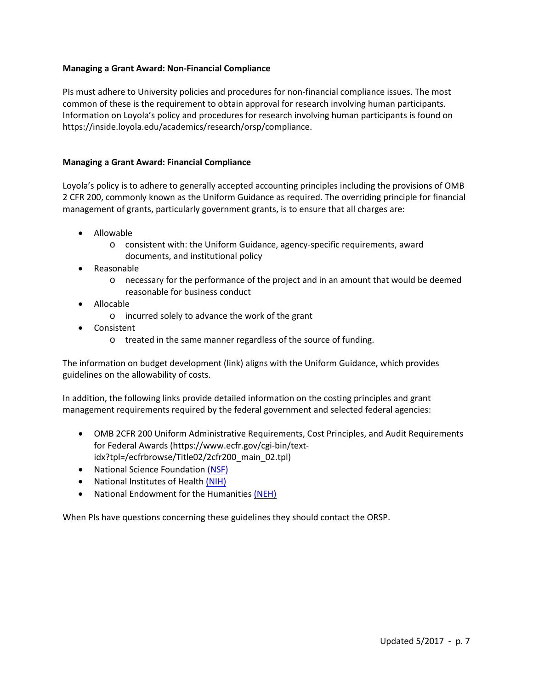## **Managing a Grant Award: Non-Financial Compliance**

PIs must adhere to University policies and procedures for non-financial compliance issues. The most common of these is the requirement to obtain approval for research involving human participants. Information on Loyola's policy and procedures for research involving human participants is found on https://inside.loyola.edu/academics/research/orsp/compliance.

### **Managing a Grant Award: Financial Compliance**

Loyola's policy is to adhere to generally accepted accounting principles including the provisions of OMB 2 CFR 200, commonly known as the Uniform Guidance as required. The overriding principle for financial management of grants, particularly government grants, is to ensure that all charges are:

- Allowable
	- o consistent with: the Uniform Guidance, agency-specific requirements, award documents, and institutional policy
- Reasonable
	- o necessary for the performance of the project and in an amount that would be deemed reasonable for business conduct
- Allocable
	- o incurred solely to advance the work of the grant
- Consistent
	- o treated in the same manner regardless of the source of funding.

The information on budget development (link) aligns with the Uniform Guidance, which provides guidelines on the allowability of costs.

In addition, the following links provide detailed information on the costing principles and grant management requirements required by the federal government and selected federal agencies:

- OMB 2CFR 200 Uniform Administrative Requirements, Cost Principles, and Audit Requirements for Federal Awards (https://www.ecfr.gov/cgi-bin/textidx?tpl=/ecfrbrowse/Title02/2cfr200\_main\_02.tpl)
- National Science Foundation [\(NSF\)](http://www.nsf.gov/)
- National Institutes of Healt[h \(NIH\)](http://www.nih.gov/)
- National Endowment for the Humanitie[s \(NEH\)](http://www.neh.gov/)

When PIs have questions concerning these guidelines they should contact the ORSP.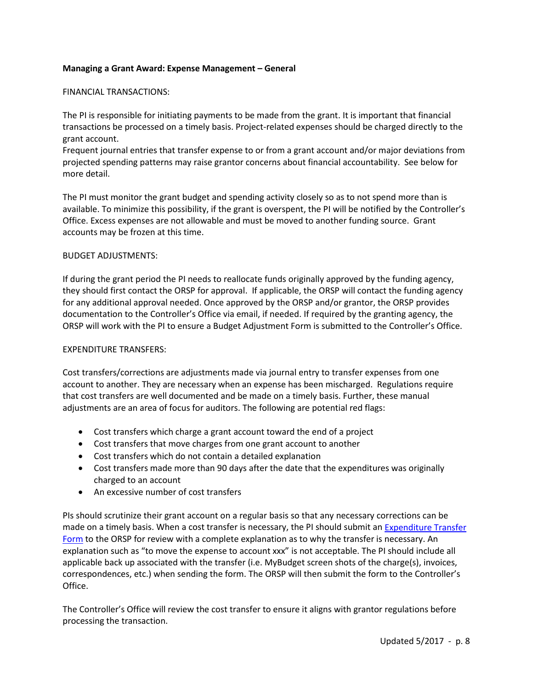## **Managing a Grant Award: Expense Management – General**

#### FINANCIAL TRANSACTIONS:

The PI is responsible for initiating payments to be made from the grant. It is important that financial transactions be processed on a timely basis. Project-related expenses should be charged directly to the grant account.

Frequent journal entries that transfer expense to or from a grant account and/or major deviations from projected spending patterns may raise grantor concerns about financial accountability. See below for more detail.

The PI must monitor the grant budget and spending activity closely so as to not spend more than is available. To minimize this possibility, if the grant is overspent, the PI will be notified by the Controller's Office. Excess expenses are not allowable and must be moved to another funding source. Grant accounts may be frozen at this time.

### BUDGET ADJUSTMENTS:

If during the grant period the PI needs to reallocate funds originally approved by the funding agency, they should first contact the ORSP for approval. If applicable, the ORSP will contact the funding agency for any additional approval needed. Once approved by the ORSP and/or grantor, the ORSP provides documentation to the Controller's Office via email, if needed. If required by the granting agency, the ORSP will work with the PI to ensure a Budget Adjustment Form is submitted to the Controller's Office.

### EXPENDITURE TRANSFERS:

Cost transfers/corrections are adjustments made via journal entry to transfer expenses from one account to another. They are necessary when an expense has been mischarged. Regulations require that cost transfers are well documented and be made on a timely basis. Further, these manual adjustments are an area of focus for auditors. The following are potential red flags:

- Cost transfers which charge a grant account toward the end of a project
- Cost transfers that move charges from one grant account to another
- Cost transfers which do not contain a detailed explanation
- Cost transfers made more than 90 days after the date that the expenditures was originally charged to an account
- An excessive number of cost transfers

PIs should scrutinize their grant account on a regular basis so that any necessary corrections can be made on a timely basis. When a cost transfer is necessary, the PI should submit an [Expenditure](https://inside.loyola.edu/financialservices/files/EXPENDITURE%20TRANSFER%20REQUES%20082510%5b1%5d-form.pdf) Transfer [Form](https://inside.loyola.edu/financialservices/files/EXPENDITURE%20TRANSFER%20REQUES%20082510%5b1%5d-form.pdf) to the ORSP for review with a complete explanation as to why the transfer is necessary. An explanation such as "to move the expense to account xxx" is not acceptable. The PI should include all applicable back up associated with the transfer (i.e. MyBudget screen shots of the charge(s), invoices, correspondences, etc.) when sending the form. The ORSP will then submit the form to the Controller's Office.

The Controller's Office will review the cost transfer to ensure it aligns with grantor regulations before processing the transaction.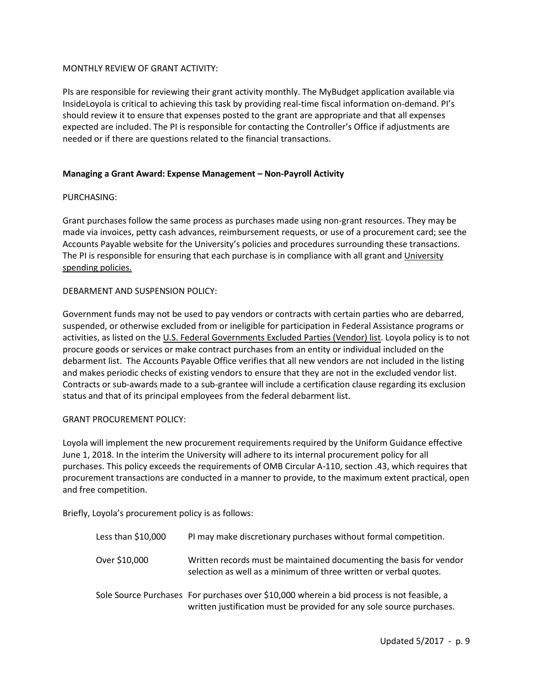## MONTHLY REVIEW OF GRANT ACTIVITY:

PIs are responsible for reviewing their grant activity monthly. The MyBudget application available via InsideLoyola is critical to achieving this task by providing real-time fiscal information on-demand. PI's should review it to ensure that expenses posted to the grant are appropriate and that all expenses expected are included. The PI is responsible for contacting the Controller's Office if adjustments are needed or if there are questions related to the financial transactions.

### **Managing a Grant Award: Expense Management – Non-Payroll Activity**

### PURCHASING:

Grant purchases follow the same process as purchases made using non-grant resources. They may be made via invoices, petty cash advances, reimbursement requests, or use of a procurement card; see the Accounts Payable website for the University's policies and procedures surrounding these transactions. The PI is responsible for ensuring that each purchase is in compliance with all grant and [University](https://inside.loyola.edu/financialservices/accountspayable/policies/index.html)  [spending policies.](https://inside.loyola.edu/financialservices/accountspayable/policies/index.html)

### DEBARMENT AND SUSPENSION POLICY:

Government funds may not be used to pay vendors or contracts with certain parties who are debarred, suspended, or otherwise excluded from or ineligible for participation in Federal Assistance programs or activities, as listed on the [U.S. Federal Governments Excluded Parties \(Vendor\) list.](https://www.epls.gov/) Loyola policy is to not procure goods or services or make contract purchases from an entity or individual included on the debarment list. The Accounts Payable Office verifies that all new vendors are not included in the listing and makes periodic checks of existing vendors to ensure that they are not in the excluded vendor list. Contracts or sub-awards made to a sub-grantee will include a certification clause regarding its exclusion status and that of its principal employees from the federal debarment list.

#### GRANT PROCUREMENT POLICY:

Loyola will implement the new procurement requirements required by the Uniform Guidance effective June 1, 2018. In the interim the University will adhere to its internal procurement policy for all purchases. This policy exceeds the requirements of OMB Circular A-110, section .43, which requires that procurement transactions are conducted in a manner to provide, to the maximum extent practical, open and free competition.

Briefly, Loyola's procurement policy is as follows:

| Less than \$10,000 | PI may make discretionary purchases without formal competition.                                                                                                     |
|--------------------|---------------------------------------------------------------------------------------------------------------------------------------------------------------------|
| Over \$10,000      | Written records must be maintained documenting the basis for vendor<br>selection as well as a minimum of three written or verbal quotes.                            |
|                    | Sole Source Purchases For purchases over \$10,000 wherein a bid process is not feasible, a<br>written justification must be provided for any sole source purchases. |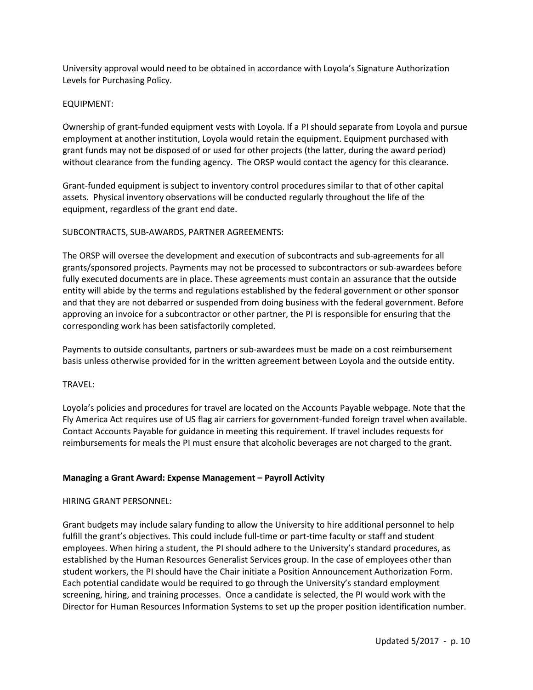University approval would need to be obtained in accordance with Loyola's Signature Authorization Levels for Purchasing Policy.

## EQUIPMENT:

Ownership of grant-funded equipment vests with Loyola. If a PI should separate from Loyola and pursue employment at another institution, Loyola would retain the equipment. Equipment purchased with grant funds may not be disposed of or used for other projects (the latter, during the award period) without clearance from the funding agency. The ORSP would contact the agency for this clearance.

Grant-funded equipment is subject to inventory control procedures similar to that of other capital assets. Physical inventory observations will be conducted regularly throughout the life of the equipment, regardless of the grant end date.

## SUBCONTRACTS, SUB-AWARDS, PARTNER AGREEMENTS:

The ORSP will oversee the development and execution of subcontracts and sub-agreements for all grants/sponsored projects. Payments may not be processed to subcontractors or sub-awardees before fully executed documents are in place. These agreements must contain an assurance that the outside entity will abide by the terms and regulations established by the federal government or other sponsor and that they are not debarred or suspended from doing business with the federal government. Before approving an invoice for a subcontractor or other partner, the PI is responsible for ensuring that the corresponding work has been satisfactorily completed.

Payments to outside consultants, partners or sub-awardees must be made on a cost reimbursement basis unless otherwise provided for in the written agreement between Loyola and the outside entity.

## TRAVEL:

Loyola's policies and procedures for travel are located on the Accounts Payable webpage. Note that the Fly America Act requires use of US flag air carriers for government-funded foreign travel when available. Contact Accounts Payable for guidance in meeting this requirement. If travel includes requests for reimbursements for meals the PI must ensure that alcoholic beverages are not charged to the grant.

## **Managing a Grant Award: Expense Management – Payroll Activity**

## HIRING GRANT PERSONNEL:

Grant budgets may include salary funding to allow the University to hire additional personnel to help fulfill the grant's objectives. This could include full-time or part-time faculty or staff and student employees. When hiring a student, the PI should adhere to the University's standard procedures, as established by the Human Resources Generalist Services group. In the case of employees other than student workers, the PI should have the Chair initiate a Position Announcement Authorization Form. Each potential candidate would be required to go through the University's standard employment screening, hiring, and training processes. Once a candidate is selected, the PI would work with the Director for Human Resources Information Systems to set up the proper position identification number.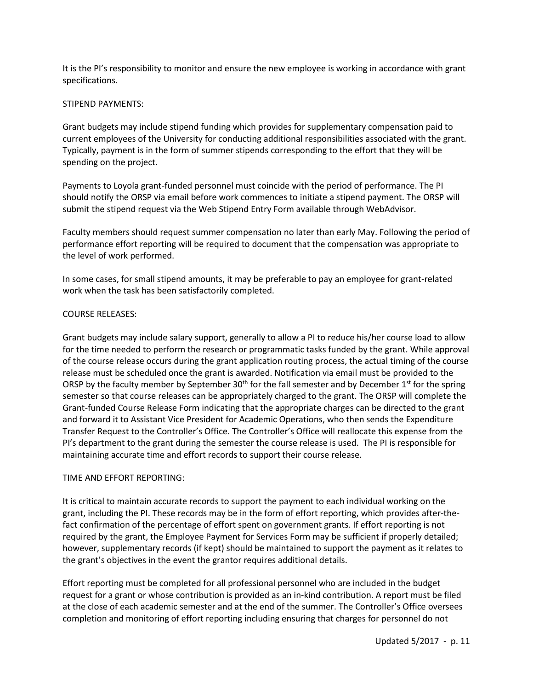It is the PI's responsibility to monitor and ensure the new employee is working in accordance with grant specifications.

## STIPEND PAYMENTS:

Grant budgets may include stipend funding which provides for supplementary compensation paid to current employees of the University for conducting additional responsibilities associated with the grant. Typically, payment is in the form of summer stipends corresponding to the effort that they will be spending on the project.

Payments to Loyola grant-funded personnel must coincide with the period of performance. The PI should notify the ORSP via email before work commences to initiate a stipend payment. The ORSP will submit the stipend request via the Web Stipend Entry Form available through WebAdvisor.

Faculty members should request summer compensation no later than early May. Following the period of performance effort reporting will be required to document that the compensation was appropriate to the level of work performed.

In some cases, for small stipend amounts, it may be preferable to pay an employee for grant-related work when the task has been satisfactorily completed.

### COURSE RELEASES:

Grant budgets may include salary support, generally to allow a PI to reduce his/her course load to allow for the time needed to perform the research or programmatic tasks funded by the grant. While approval of the course release occurs during the grant application routing process, the actual timing of the course release must be scheduled once the grant is awarded. Notification via email must be provided to the ORSP by the faculty member by September 30<sup>th</sup> for the fall semester and by December 1<sup>st</sup> for the spring semester so that course releases can be appropriately charged to the grant. The ORSP will complete the Grant-funded Course Release Form indicating that the appropriate charges can be directed to the grant and forward it to Assistant Vice President for Academic Operations, who then sends the Expenditure Transfer Request to the Controller's Office. The Controller's Office will reallocate this expense from the PI's department to the grant during the semester the course release is used. The PI is responsible for maintaining accurate time and effort records to support their course release.

#### TIME AND EFFORT REPORTING:

It is critical to maintain accurate records to support the payment to each individual working on the grant, including the PI. These records may be in the form of effort reporting, which provides after-thefact confirmation of the percentage of effort spent on government grants. If effort reporting is not required by the grant, the Employee Payment for Services Form may be sufficient if properly detailed; however, supplementary records (if kept) should be maintained to support the payment as it relates to the grant's objectives in the event the grantor requires additional details.

Effort reporting must be completed for all professional personnel who are included in the budget request for a grant or whose contribution is provided as an in-kind contribution. A report must be filed at the close of each academic semester and at the end of the summer. The Controller's Office oversees completion and monitoring of effort reporting including ensuring that charges for personnel do not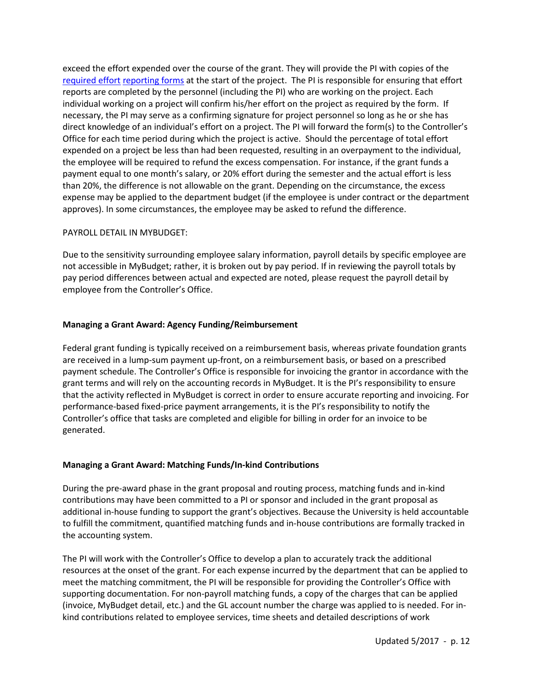exceed the effort expended over the course of the grant. They will provide the PI with copies of the [required effort](file://ad/dfs/H/SponsoredProjects/Effort%20Reporting%20Forms/effort%20reporting%20form%20SJB.doc) [reporting forms](file://ad/dfs/H/SponsoredProjects/Effort%20Reporting%20Forms/effort%20reporting%20form%20JPR.doc) at the start of the project. The PI is responsible for ensuring that effort reports are completed by the personnel (including the PI) who are working on the project. Each individual working on a project will confirm his/her effort on the project as required by the form. If necessary, the PI may serve as a confirming signature for project personnel so long as he or she has direct knowledge of an individual's effort on a project. The PI will forward the form(s) to the Controller's Office for each time period during which the project is active. Should the percentage of total effort expended on a project be less than had been requested, resulting in an overpayment to the individual, the employee will be required to refund the excess compensation. For instance, if the grant funds a payment equal to one month's salary, or 20% effort during the semester and the actual effort is less than 20%, the difference is not allowable on the grant. Depending on the circumstance, the excess expense may be applied to the department budget (if the employee is under contract or the department approves). In some circumstances, the employee may be asked to refund the difference.

## PAYROLL DETAIL IN MYBUDGET:

Due to the sensitivity surrounding employee salary information, payroll details by specific employee are not accessible in MyBudget; rather, it is broken out by pay period. If in reviewing the payroll totals by pay period differences between actual and expected are noted, please request the payroll detail by employee from the Controller's Office.

### **Managing a Grant Award: Agency Funding/Reimbursement**

Federal grant funding is typically received on a reimbursement basis, whereas private foundation grants are received in a lump-sum payment up-front, on a reimbursement basis, or based on a prescribed payment schedule. The Controller's Office is responsible for invoicing the grantor in accordance with the grant terms and will rely on the accounting records in MyBudget. It is the PI's responsibility to ensure that the activity reflected in MyBudget is correct in order to ensure accurate reporting and invoicing. For performance-based fixed-price payment arrangements, it is the PI's responsibility to notify the Controller's office that tasks are completed and eligible for billing in order for an invoice to be generated.

## **Managing a Grant Award: Matching Funds/In-kind Contributions**

During the pre-award phase in the grant proposal and routing process, matching funds and in-kind contributions may have been committed to a PI or sponsor and included in the grant proposal as additional in-house funding to support the grant's objectives. Because the University is held accountable to fulfill the commitment, quantified matching funds and in-house contributions are formally tracked in the accounting system.

The PI will work with the Controller's Office to develop a plan to accurately track the additional resources at the onset of the grant. For each expense incurred by the department that can be applied to meet the matching commitment, the PI will be responsible for providing the Controller's Office with supporting documentation. For non-payroll matching funds, a copy of the charges that can be applied (invoice, MyBudget detail, etc.) and the GL account number the charge was applied to is needed. For inkind contributions related to employee services, time sheets and detailed descriptions of work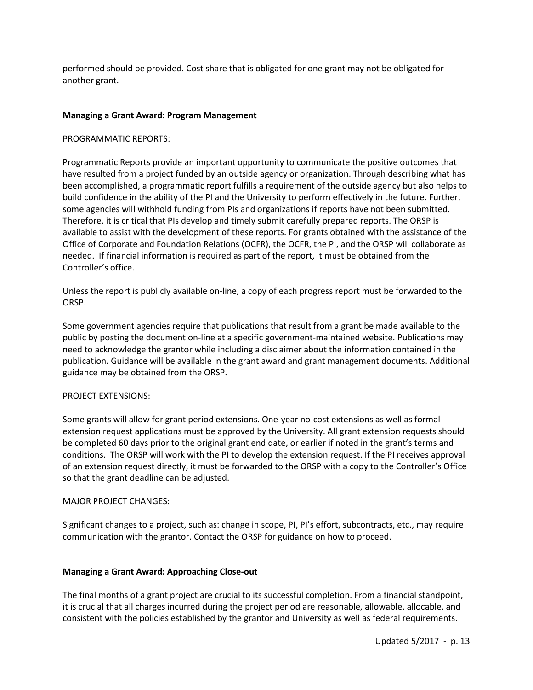performed should be provided. Cost share that is obligated for one grant may not be obligated for another grant.

## **Managing a Grant Award: Program Management**

### PROGRAMMATIC REPORTS:

Programmatic Reports provide an important opportunity to communicate the positive outcomes that have resulted from a project funded by an outside agency or organization. Through describing what has been accomplished, a programmatic report fulfills a requirement of the outside agency but also helps to build confidence in the ability of the PI and the University to perform effectively in the future. Further, some agencies will withhold funding from PIs and organizations if reports have not been submitted. Therefore, it is critical that PIs develop and timely submit carefully prepared reports. The ORSP is available to assist with the development of these reports. For grants obtained with the assistance of the Office of Corporate and Foundation Relations (OCFR), the OCFR, the PI, and the ORSP will collaborate as needed. If financial information is required as part of the report, it must be obtained from the Controller's office.

Unless the report is publicly available on-line, a copy of each progress report must be forwarded to the ORSP.

Some government agencies require that publications that result from a grant be made available to the public by posting the document on-line at a specific government-maintained website. Publications may need to acknowledge the grantor while including a disclaimer about the information contained in the publication. Guidance will be available in the grant award and grant management documents. Additional guidance may be obtained from the ORSP.

#### PROJECT EXTENSIONS:

Some grants will allow for grant period extensions. One-year no-cost extensions as well as formal extension request applications must be approved by the University. All grant extension requests should be completed 60 days prior to the original grant end date, or earlier if noted in the grant's terms and conditions. The ORSP will work with the PI to develop the extension request. If the PI receives approval of an extension request directly, it must be forwarded to the ORSP with a copy to the Controller's Office so that the grant deadline can be adjusted.

#### MAJOR PROJECT CHANGES:

Significant changes to a project, such as: change in scope, PI, PI's effort, subcontracts, etc., may require communication with the grantor. Contact the ORSP for guidance on how to proceed.

#### **Managing a Grant Award: Approaching Close-out**

The final months of a grant project are crucial to its successful completion. From a financial standpoint, it is crucial that all charges incurred during the project period are reasonable, allowable, allocable, and consistent with the policies established by the grantor and University as well as federal requirements.